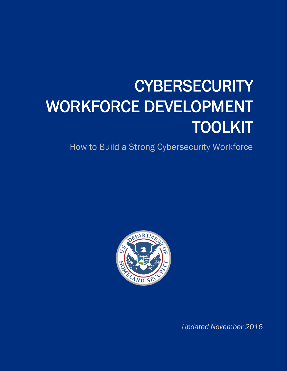# **CYBERSECURITY** WORKFORCE DEVELOPMENT TOOLKIT

How to Build a Strong Cybersecurity Workforce



*Updated November 2016*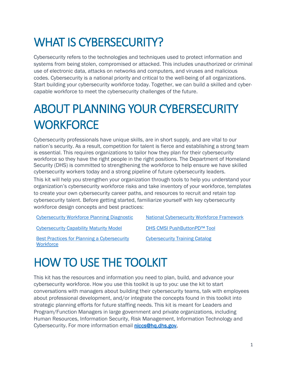## WHAT IS CYBERSECURITY?

Cybersecurity refers to the technologies and techniques used to protect information and systems from being stolen, compromised or attacked. This includes unauthorized or criminal use of electronic data, attacks on networks and computers, and viruses and malicious codes. Cybersecurity is a national priority and critical to the well-being of all organizations. Start building your cybersecurity workforce today. Together, we can build a skilled and cybercapable workforce to meet the cybersecurity challenges of the future.

## ABOUT PLANNING YOUR CYBERSECURITY **WORKFORCE**

Cybersecurity professionals have unique skills, are in short supply, and are vital to our nation's security. As a result, competition for talent is fierce and establishing a strong team is essential. This requires organizations to tailor how they plan for their cybersecurity workforce so they have the right people in the right positions. The Department of Homeland Security (DHS) is committed to strengthening the workforce to help ensure we have skilled cybersecurity workers today and a strong pipeline of future cybersecurity leaders.

This kit will help you strengthen your organization through tools to help you understand your organization's cybersecurity workforce risks and take inventory of your workforce, templates to create your own cybersecurity career paths, and resources to recruit and retain top cybersecurity talent. Before getting started, familiarize yourself with key cybersecurity workforce design concepts and best practices:

[Cybersecurity Workforce Planning Diagnostic](https://niccs.us-cert.gov/sites/default/files/Cybersecurity%20Workforce%20Planning%20Diagnostic_1.pdf?trackDocs=Cybersecurity%20Workforce%20Planning%20Diagnostic_1.pdf) [National Cybersecurity Workforce Framework](https://niccs.us-cert.gov/workforce-development/cyber-security-workforce-framework)

[Cybersecurity Capability Maturity Model](https://niccs.us-cert.gov/sites/default/files/Capability%20Maturity%20Model%20White%20Paper.pdf?trackDocs=Capability%20Maturity%20Model%20White%20Paper.pdf) [DHS CMSI PushButtonPD™](https://niccs.us-cert.gov/workforce-development/dhs-cmsi-pushbuttonpd-tool) Tool

[Cybersecurity Training Catalog](https://niccs.us-cert.gov/training/search)

[Best Practices for Planning a Cybersecurity](https://niccs.us-cert.gov/sites/default/files/documents/pdf/best_practices_for_planning_a_cybersecurity_workforce_white%20paper_0_0.pdf?trackDocs=best_practices_for_planning_a_cybersecurity_workforce_white%20paper_0_0.pdf)  **[Workforce](https://niccs.us-cert.gov/sites/default/files/documents/pdf/best_practices_for_planning_a_cybersecurity_workforce_white%20paper_0_0.pdf?trackDocs=best_practices_for_planning_a_cybersecurity_workforce_white%20paper_0_0.pdf)** 

### HOW TO USE THE TOOLKIT

This kit has the resources and information you need to plan, build, and advance your cybersecurity workforce. How you use this toolkit is up to you: use the kit to start conversations with managers about building their cybersecurity teams, talk with employees about professional development, and/or integrate the concepts found in this toolkit into strategic planning efforts for future staffing needs. This kit is meant for Leaders and Program/Function Managers in large government and private organizations, including Human Resources, Information Security, Risk Management, Information Technology and Cybersecurity. For more information email [niccs@hq.dhs.gov.](mailto:niccs@hq.dhs.gov)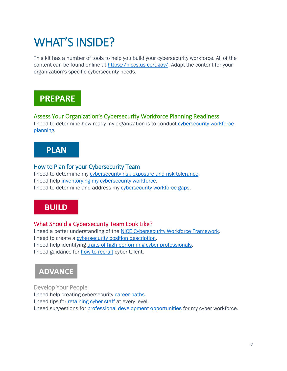### WHAT'S INSIDE?

This kit has a number of tools to help you build your cybersecurity workforce. All of the content can be found online at [https://niccs.us-cert.gov/.](https://niccs.us-cert.gov/) Adapt the content for your organization's specific cybersecurity needs.

### **PREPARE**

#### Assess Your Organization's Cybersecurity Workforce Planning Readiness

I need to determine how ready my organization is to conduct cybersecurity workforce [planning.](#page-3-0)

### **PLAN**

### How to Plan for your Cybersecurity Team

I need to determine my [cybersecurity risk exposure and risk tolerance.](#page-4-0) I need help [inventorying my cybersecurity workforce.](#page-4-1) I need to determine and address my [cybersecurity workforce gaps.](#page-5-0)

### **BUILD**

### What Should a Cybersecurity Team Look Like?

I need a better understanding of the [NICE Cybersecurity Workforce Framework.](#page-6-0) I need to create a cybersecurity [position description.](#page-6-1) I need help identifying [traits of high-performing cyber professionals.](#page-7-0) I need guidance for [how to recruit](#page-8-0) cyber talent.

### **ADVANCE**

Develop Your People I need help creating cybersecurity [career paths.](#page-11-0) I need tips for [retaining cyber staff](#page-10-0) at every level. I need suggestions for **professional development opportunities** for my cyber workforce.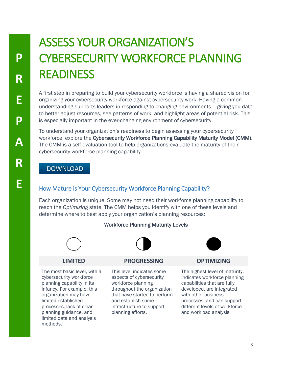# <span id="page-3-0"></span>ASSESS YOUR ORGANIZATION'S CYBERSECURITY WORKFORCE PLANNING READINESS

A first step in preparing to build your cybersecurity workforce is having a shared vision for organizing your cybersecurity workforce against cybersecurity work. Having a common understanding supports leaders in responding to changing environments – giving you data to better adjust resources, see patterns of work, and highlight areas of potential risk. This is especially important in the ever-changing environment of cybersecurity.

To understand your organization's readiness to begin assessing your cybersecurity workforce, explore the Cybersecurity Workforce Planning Capability Maturity Model (CMM). The CMM is a self-evaluation tool to help organizations evaluate the maturity of their cybersecurity workforce planning capability.

### **DOWNLOAD**

### How Mature is Your Cybersecurity Workforce Planning Capability?

Each organization is unique. Some may not need their workforce planning capability to reach the *Optimizing* state. The CMM helps you identify with one of these levels and determine where to best apply your organization's planning resources:

#### Workforce Planning Maturity Levels







The most basic level, with a cybersecurity workforce planning capability in its infancy. For example, this organization may have limited established processes, lack of clear planning guidance, and limited data and analysis methods.

### **LIMITED PROGRESSING OPTIMIZING**

This level indicates some aspects of cybersecurity workforce planning throughout the organization that have started to perform and establish some infrastructure to support planning efforts.



The highest level of maturity, indicates workforce planning capabilities that are fully developed, are integrated with other business processes, and can support different levels of workforce and workload analysis.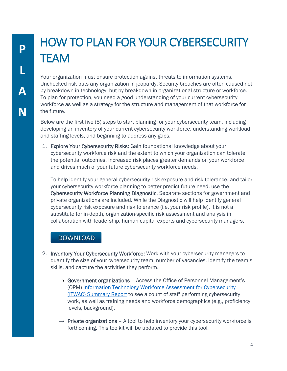# HOW TO PLAN FOR YOUR CYBERSECURITY **TEAM**

Your organization must ensure protection against threats to information systems. Unchecked risk puts any organization in jeopardy. Security breaches are often caused not by breakdown in technology, but by breakdown in organizational structure or workforce. To plan for protection, you need a good understanding of your current cybersecurity workforce as well as a strategy for the structure and management of that workforce for the future.

Below are the first five (5) steps to start planning for your cybersecurity team, including developing an inventory of your current cybersecurity workforce, understanding workload and staffing levels, and beginning to address any gaps.

<span id="page-4-0"></span>1. Explore Your Cybersecurity Risks: Gain foundational knowledge about your cybersecurity workforce risk and the extent to which your organization can tolerate the potential outcomes. Increased risk places greater demands on your workforce and drives much of your future cybersecurity workforce needs.

To help identify your general cybersecurity risk exposure and risk tolerance, and tailor your cybersecurity workforce planning to better predict future need, use the Cybersecurity Workforce Planning Diagnostic. Separate sections for government and private organizations are included. While the Diagnostic will help identify general cybersecurity risk exposure and risk tolerance (i.e. your risk profile), it is not a substitute for in-depth, organization-specific risk assessment and analysis in collaboration with leadership, human capital experts and cybersecurity managers.

### **DOWNLOAD**

- <span id="page-4-1"></span>2. Inventory Your Cybersecurity Workforce: Work with your cybersecurity managers to quantify the size of your cybersecurity team, number of vacancies, identify the team's skills, and capture the activities they perform.
	- $\rightarrow$  Government organizations Access the Office of Personnel Management's (OPM) [Information Technology Workforce Assessment for Cybersecurity](https://niccs.us-cert.gov/sites/default/files/documents/pdf/itwac_summary_report_04_01_2013.pdf?trackDocs=itwac_summary_report_04_01_2013.pdf)  [\(ITWAC\) Summary Report](https://niccs.us-cert.gov/sites/default/files/documents/pdf/itwac_summary_report_04_01_2013.pdf?trackDocs=itwac_summary_report_04_01_2013.pdf) to see a count of staff performing cybersecurity work, as well as training needs and workforce demographics (e.g., proficiency levels, background).
	- $\rightarrow$  Private organizations A tool to help inventory your cybersecurity workforce is forthcoming. This toolkit will be updated to provide this tool.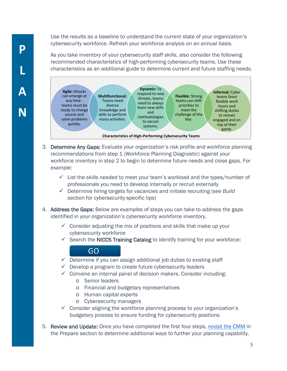Use the results as a baseline to understand the current state of your organization's cybersecurity workforce. Refresh your workforce analysis on an annual basis.

As you take inventory of your cybersecurity staff skills, also consider the following recommended characteristics of high-performing cybersecurity teams. Use these characteristics as an additional guide to determine current and future staffing needs.



- <span id="page-5-0"></span>3. Determine Any Gaps: Evaluate your organization's risk profile and workforce planning recommendations from step 1 (Workforce Planning Diagnostic) against your workforce inventory in step 2 to begin to determine future needs and close gaps. For example:
	- $\checkmark$  List the skills needed to meet your team's workload and the types/number of professionals you need to develop internally or recruit externally
	- Determine hiring targets for vacancies and initiate recruiting (see *Build* section for cybersecurity-specific tips)
- 4. **Address the Gaps:** Below are examples of steps you can take to address the gaps identified in your organization's cybersecurity workforce inventory.
	- $\checkmark$  Consider adjusting the mix of positions and skills that make up your cybersecurity workforce
	- $\checkmark$  Search the NICCS Training Catalog to identify training for your workforce:

### GO

- $\checkmark$  Determine if you can assign additional job duties to existing staff
- $\checkmark$  Develop a program to create future cybersecurity leaders
- $\checkmark$  Convene an internal panel of decision makers. Consider including:
	- o Senior leaders
	- o Financial and budgetary representatives
	- o Human capital experts
	- o Cybersecurity managers
- $\checkmark$  Consider aligning the workforce planning process to your organization's budgetary process to ensure funding for cybersecurity positions
- 5. Review and Update: Once you have completed the first four steps, [revisit the CMM](https://niccs.us-cert.gov/sites/default/files/Capability%20Maturity%20Model%20White%20Paper.pdf?trackDocs=Capability%20Maturity%20Model%20White%20Paper.pdf) in the *Prepare* section to determine additional ways to further your planning capability.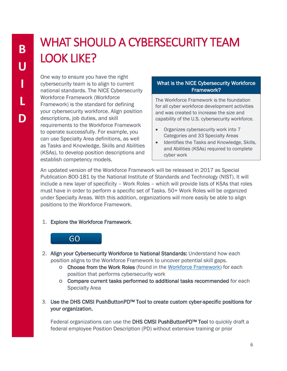# WHAT SHOULD A CYBERSECURITY TEAM LOOK LIKE?

One way to ensure you have the right cybersecurity team is to align to current national standards. The NICE Cybersecurity Workforce Framework (Workforce Framework) is the standard for defining your cybersecurity workforce. Align position descriptions, job duties, and skill requirements to the Workforce Framework to operate successfully. For example, you can use Specialty Area definitions, as well as Tasks and Knowledge, Skills and Abilities (KSAs), to develop position descriptions and establish competency models.

### What is the NICE Cybersecurity Workforce Framework?

The Workforce Framework is the foundation for all cyber workforce development activities and was created to increase the size and capability of the U.S. cybersecurity workforce.

- Organizes cybersecurity work into 7 Categories and 33 Specialty Areas
- Identifies the Tasks and Knowledge, Skills, and Abilities (KSAs) required to complete cyber work

An updated version of the Workforce Framework will be released in 2017 as Special Publication 800-181 by the National Institute of Standards and Technology (NIST). It will include a new layer of specificity – Work Roles – which will provide lists of KSAs that roles must have in order to perform a specific set of Tasks. 50+ Work Roles will be organized under Specialty Areas. With this addition, organizations will more easily be able to align positions to the Workforce Framework.

#### <span id="page-6-0"></span>1. Explore the Workforce Framework.



- 2. Align your Cybersecurity Workforce to National Standards: Understand how each position aligns to the Workforce Framework to uncover potential skill gaps.
	- $\circ$  Choose from the Work Roles (found in the [Workforce Framework\)](https://niccs.us-cert.gov/workforce-development/cyber-security-workforce-framework) for each position that performs cybersecurity work
	- $\circ$  Compare current tasks performed to additional tasks recommended for each Specialty Area
- <span id="page-6-1"></span>3. Use the DHS CMSI PushButtonPD™ Tool to create custom cyber-specific positions for your organization.

Federal organizations can use the DHS CMSI PushButtonPD™ Tool to quickly draft a federal employee Position Description (PD) without extensive training or prior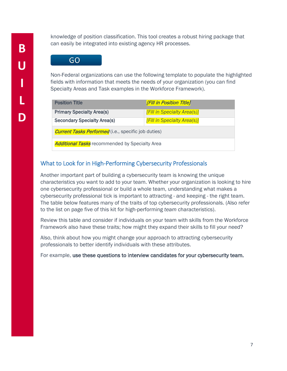knowledge of position classification. This tool creates a robust hiring package that can easily be integrated into existing agency HR processes.

### GO

Non-Federal organizations can use the following template to populate the highlighted fields with information that meets the needs of your organization (you can find Specialty Areas and Task examples in the Workforce Framework).

| <b>Position Title</b>                                      | [Fill in Position Title]    |  |
|------------------------------------------------------------|-----------------------------|--|
| <b>Primary Specialty Area(s)</b>                           | [Fill in Specialty Area(s)] |  |
| <b>Secondary Specialty Area(s)</b>                         | [Fill in Specialty Area(s)] |  |
| <b>Current Tasks Performed</b> (i.e., specific job duties) |                             |  |
| <b>Additional Tasks</b> recommended by Specialty Area      |                             |  |

### <span id="page-7-0"></span>What to Look for in High-Performing Cybersecurity Professionals

Another important part of building a cybersecurity team is knowing the unique characteristics you want to add to your team. Whether your organization is looking to hire one cybersecurity professional or build a whole team, understanding what makes a cybersecurity professional tick is important to attracting - and keeping - the right team. The table below features many of the traits of top cybersecurity professionals. (Also refer to the list on page five of this kit for high-performing *team* characteristics).

Review this table and consider if individuals on your team with skills from the Workforce Framework also have these traits; how might they expand their skills to fill your need?

Also, think about how you might change your approach to attracting cybersecurity professionals to better identify individuals with these attributes.

For example, use these questions to interview candidates for your cybersecurity team.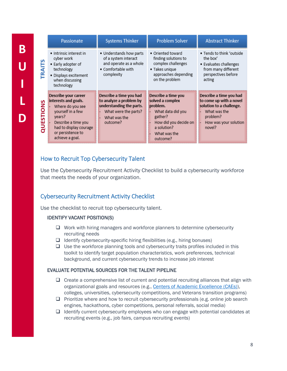|               | Passionate                                                                                                                                                                               | <b>Systems Thinker</b>                                                                                                             | <b>Problem Solver</b>                                                                                                                                   | <b>Abstract Thinker</b>                                                                                                                       |
|---------------|------------------------------------------------------------------------------------------------------------------------------------------------------------------------------------------|------------------------------------------------------------------------------------------------------------------------------------|---------------------------------------------------------------------------------------------------------------------------------------------------------|-----------------------------------------------------------------------------------------------------------------------------------------------|
| <b>TRAITS</b> | • Intrinsic interest in<br>cyber work<br>• Early adopter of<br>technology<br>· Displays excitement<br>when discussing<br>technology                                                      | • Understands how parts<br>of a system interact<br>and operate as a whole<br>• Comfortable with<br>complexity                      | • Oriented toward<br>finding solutions to<br>complex challenges<br>• Takes unique<br>approaches depending<br>on the problem                             | . Tends to think 'outside<br>the box'<br>• Evaluates challenges<br>from many different<br>perspectives before<br>acting                       |
| QUESTIONS     | Describe your career<br>interests and goals.<br>Where do you see<br>yourself in a few<br>years?<br>Describe a time you<br>had to display courage<br>or persistence to<br>achieve a goal. | Describe a time you had<br>to analyze a problem by<br>understanding the parts.<br>What were the parts?<br>What was the<br>outcome? | Describe a time you<br>solved a complex<br>problem.<br>What data did you<br>gather?<br>How did you decide on<br>a solution?<br>What was the<br>outcome? | Describe a time you had<br>to come up with a novel<br>solution to a challenge.<br>What was the<br>problem?<br>How was your solution<br>novel? |

### <span id="page-8-0"></span>How to Recruit Top Cybersecurity Talent

Use the Cybersecurity Recruitment Activity Checklist to build a cybersecurity workforce that meets the needs of your organization.

### Cybersecurity Recruitment Activity Checklist

Use the checklist to recruit top cybersecurity talent.

#### IDENTIFY VACANT POSITION(S)

**B**

**U**

**I**

**L**

**D**

- $\Box$  Work with hiring managers and workforce planners to determine cybersecurity recruiting needs
- $\Box$  Identify cybersecurity-specific hiring flexibilities (e.g., hiring bonuses)
- $\Box$  Use the workforce planning tools and cybersecurity traits profiles included in this toolkit to identify target population characteristics, work preferences, technical background, and current cybersecurity trends to increase job interest

#### EVALUATE POTENTIAL SOURCES FOR THE TALENT PIPELINE

- $\Box$  Create a comprehensive list of current and potential recruiting alliances that align with organizational goals and resources (e.g., [Centers of Academic Excellence \(CAEs\)\)](https://niccs.us-cert.gov/formal-education/national-centers-academic-excellence-cae), colleges, universities, cybersecurity competitions, and Veterans transition programs)
- $\Box$  Prioritize where and how to recruit cybersecurity professionals (e.g. online job search engines, hackathons, cyber competitions, personal referrals, social media)
- $\Box$  Identify current cybersecurity employees who can engage with potential candidates at recruiting events (e.g., job fairs, campus recruiting events)

8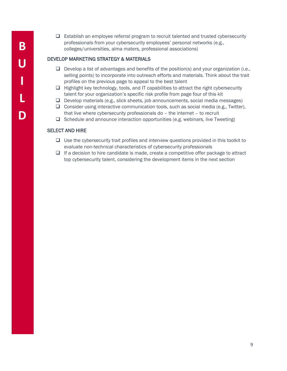- **B U I L D**
- $\Box$  Establish an employee referral program to recruit talented and trusted cybersecurity professionals from your cybersecurity employees' personal networks (e.g., colleges/universities, alma maters, professional associations)

#### DEVELOP MARKETING STRATEGY & MATERIALS

- $\Box$  Develop a list of advantages and benefits of the position(s) and your organization (i.e., selling points) to incorporate into outreach efforts and materials. Think about the trait profiles on the previous page to appeal to the best talent
- $\Box$  Highlight key technology, tools, and IT capabilities to attract the right cybersecurity talent for your organization's specific risk profile from page four of this kit
- $\Box$  Develop materials (e.g., slick sheets, job announcements, social media messages)
- $\Box$  Consider using interactive communication tools, such as social media (e.g., Twitter), that live where cybersecurity professionals do – the internet – to recruit
- $\Box$  Schedule and announce interaction opportunities (e.g. webinars, live Tweeting)

#### SELECT AND HIRE

- $\Box$  Use the cybersecurity trait profiles and interview questions provided in this toolkit to evaluate non-technical characteristics of cybersecurity professionals
- $\Box$  If a decision to hire candidate is made, create a competitive offer package to attract top cybersecurity talent, considering the development items in the next section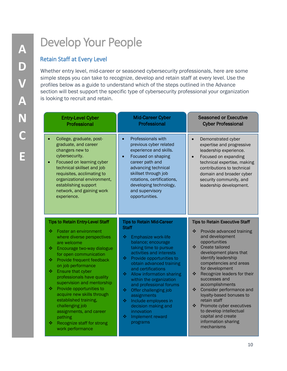# Develop Your People

### <span id="page-10-0"></span>Retain Staff at Every Level

Whether entry level, mid-career or seasoned cybersecurity professionals, here are some simple steps you can take to recognize, develop and retain staff at every level. Use the profiles below as a guide to understand which of the steps outlined in the Advance section will best support the specific type of cybersecurity professional your organization is looking to recruit and retain.

| <b>Entry-Level Cyber</b>                                                                                                                                                                                                                                                          | <b>Mid-Career Cyber</b>                                                                                                                                                                                                                                                               | <b>Seasoned or Executive</b>                                                                                                                                                                                                                                               |
|-----------------------------------------------------------------------------------------------------------------------------------------------------------------------------------------------------------------------------------------------------------------------------------|---------------------------------------------------------------------------------------------------------------------------------------------------------------------------------------------------------------------------------------------------------------------------------------|----------------------------------------------------------------------------------------------------------------------------------------------------------------------------------------------------------------------------------------------------------------------------|
| Professional                                                                                                                                                                                                                                                                      | Professional                                                                                                                                                                                                                                                                          | <b>Cyber Professional</b>                                                                                                                                                                                                                                                  |
| College, graduate, post-<br>graduate, and career<br>changers new to<br>cybersecurity.<br>Focused on learning cyber<br>technical skillset and job<br>requisites, acclimating to<br>organizational environment,<br>establishing support<br>network, and gaining work<br>experience. | Professionals with<br>$\bullet$<br>previous cyber related<br>experience and skills.<br>Focused on shaping<br>$\bullet$<br>career path and<br>advancing technical<br>skillset through job<br>rotations, certifications,<br>developing technology,<br>and supervisory<br>opportunities. | Demonstrated cyber<br>$\bullet$<br>expertise and progressive<br>leadership experience.<br>Focused on expanding<br>$\bullet$<br>technical expertise, making<br>contributions to technical<br>domain and broader cyber<br>security community, and<br>leadership development. |
| <b>Tips to Retain Entry-Level Staff</b>                                                                                                                                                                                                                                           | <b>Tips to Retain Mid-Career</b>                                                                                                                                                                                                                                                      | <b>Tips to Retain Executive Staff</b>                                                                                                                                                                                                                                      |
| ❖                                                                                                                                                                                                                                                                                 | <b>Staff</b>                                                                                                                                                                                                                                                                          | ❖                                                                                                                                                                                                                                                                          |
| Foster an environment                                                                                                                                                                                                                                                             | ❖                                                                                                                                                                                                                                                                                     | Provide advanced training                                                                                                                                                                                                                                                  |
| where diverse perspectives                                                                                                                                                                                                                                                        | Emphasize work-life                                                                                                                                                                                                                                                                   | and development                                                                                                                                                                                                                                                            |
| are welcome                                                                                                                                                                                                                                                                       | balance; encourage                                                                                                                                                                                                                                                                    | opportunities                                                                                                                                                                                                                                                              |
| Encourage two-way dialogue                                                                                                                                                                                                                                                        | taking time to pursue                                                                                                                                                                                                                                                                 | $\frac{1}{2}$                                                                                                                                                                                                                                                              |
| ❖                                                                                                                                                                                                                                                                                 | activities and interests                                                                                                                                                                                                                                                              | Create tailored                                                                                                                                                                                                                                                            |
| for open communication                                                                                                                                                                                                                                                            | ÷                                                                                                                                                                                                                                                                                     | development plans that                                                                                                                                                                                                                                                     |
| ❖                                                                                                                                                                                                                                                                                 | Provide opportunities to                                                                                                                                                                                                                                                              | identify leadership                                                                                                                                                                                                                                                        |
| Provide frequent feedback                                                                                                                                                                                                                                                         | obtain advanced training                                                                                                                                                                                                                                                              | competencies and areas                                                                                                                                                                                                                                                     |
| on job performance                                                                                                                                                                                                                                                                | and certifications                                                                                                                                                                                                                                                                    | for development                                                                                                                                                                                                                                                            |
| ❖                                                                                                                                                                                                                                                                                 | ❖                                                                                                                                                                                                                                                                                     | $\frac{1}{2}$                                                                                                                                                                                                                                                              |
| Ensure that cyber                                                                                                                                                                                                                                                                 | Allow information sharing                                                                                                                                                                                                                                                             | Recognize leaders for their                                                                                                                                                                                                                                                |
| professionals have quality                                                                                                                                                                                                                                                        | within the organization                                                                                                                                                                                                                                                               | successes and                                                                                                                                                                                                                                                              |
| supervision and mentorship                                                                                                                                                                                                                                                        | and professional forums                                                                                                                                                                                                                                                               | accomplishments                                                                                                                                                                                                                                                            |
| Provide opportunities to                                                                                                                                                                                                                                                          | ❖                                                                                                                                                                                                                                                                                     | $\frac{1}{2}$                                                                                                                                                                                                                                                              |
| 壘                                                                                                                                                                                                                                                                                 | Offer challenging job                                                                                                                                                                                                                                                                 | Consider performance and                                                                                                                                                                                                                                                   |
| acquire new skills through                                                                                                                                                                                                                                                        | assignments                                                                                                                                                                                                                                                                           | loyalty-based bonuses to                                                                                                                                                                                                                                                   |
| established training,                                                                                                                                                                                                                                                             | ÷                                                                                                                                                                                                                                                                                     | retain staff                                                                                                                                                                                                                                                               |
| challenging job                                                                                                                                                                                                                                                                   | Include employees in                                                                                                                                                                                                                                                                  | $\frac{1}{2}$                                                                                                                                                                                                                                                              |
| assignments, and career                                                                                                                                                                                                                                                           | decision making and                                                                                                                                                                                                                                                                   | Promote cyber executives                                                                                                                                                                                                                                                   |
| pathing                                                                                                                                                                                                                                                                           | innovation                                                                                                                                                                                                                                                                            | to develop intellectual                                                                                                                                                                                                                                                    |
| Recognize staff for strong                                                                                                                                                                                                                                                        | ❖                                                                                                                                                                                                                                                                                     | capital and create                                                                                                                                                                                                                                                         |
| ❖                                                                                                                                                                                                                                                                                 | Implement reward                                                                                                                                                                                                                                                                      | information sharing                                                                                                                                                                                                                                                        |
| work performance                                                                                                                                                                                                                                                                  | programs                                                                                                                                                                                                                                                                              | mechanisms                                                                                                                                                                                                                                                                 |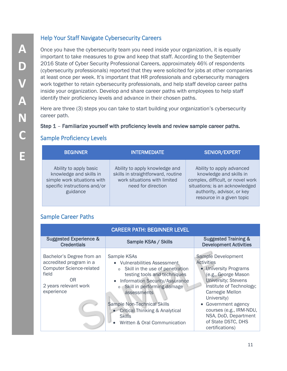### <span id="page-11-0"></span>Help Your Staff Navigate Cybersecurity Careers

Once you have the cybersecurity team you need inside your organization, it is equally important to take measures to grow and keep that staff. According to the September 2016 State of Cyber Security Professional Careers, approximately 46% of respondents (cybersecurity professionals) reported that they were solicited for jobs at other companies at least once per week. It's important that HR professionals and cybersecurity managers work together to retain cybersecurity professionals, and help staff develop career paths inside your organization. Develop and share career paths with employees to help staff identify their proficiency levels and advance in their chosen paths.

Here are three (3) steps you can take to start building your organization's cybersecurity career path.

#### Step 1 – Familiarize yourself with proficiency levels and review sample career paths.

### Sample Proficiency Levels

| <b>BEGINNER</b>                                                                                                              | <b>INTERMEDIATE</b>                                                                                                        | <b>SENIOR/EXPERT</b>                                                                                                                                                                   |
|------------------------------------------------------------------------------------------------------------------------------|----------------------------------------------------------------------------------------------------------------------------|----------------------------------------------------------------------------------------------------------------------------------------------------------------------------------------|
| Ability to apply basic<br>knowledge and skills in<br>simple work situations with<br>specific instructions and/or<br>guidance | Ability to apply knowledge and<br>skills in straightforward, routine<br>work situations with limited<br>need for direction | Ability to apply advanced<br>knowledge and skills in<br>complex, difficult, or novel work<br>situations; is an acknowledged<br>authority, advisor, or key<br>resource in a given topic |

### Sample Career Paths

| <b>CAREER PATH: BEGINNER LEVEL</b>                                                                                                            |                                                                                                                                                                                                                                                                                                                                           |                                                                                                                                                                                                                                                                                                        |
|-----------------------------------------------------------------------------------------------------------------------------------------------|-------------------------------------------------------------------------------------------------------------------------------------------------------------------------------------------------------------------------------------------------------------------------------------------------------------------------------------------|--------------------------------------------------------------------------------------------------------------------------------------------------------------------------------------------------------------------------------------------------------------------------------------------------------|
| <b>Suggested Experience &amp;</b><br><b>Credentials</b>                                                                                       | Sample KSAs / Skills                                                                                                                                                                                                                                                                                                                      | <b>Suggested Training &amp;</b><br><b>Development Activities</b>                                                                                                                                                                                                                                       |
| Bachelor's Degree from an<br>accredited program in a<br><b>Computer Science-related</b><br>field<br>0R<br>2 years relevant work<br>experience | Sample KSAs<br>• Vulnerabilities Assessment<br>Skill in the use of penetration<br>$\circ$<br>testing tools and techniques<br>Information Security/Assurance<br>$\bullet$<br>Skill in performing damage<br>assessments<br>Sample Non-Technical Skills<br>• Critical Thinking & Analytical<br><b>Skills</b><br>Written & Oral Communication | Sample Development<br><b>Activities</b><br>• University Programs<br>(e.g., George Mason<br><b>University; Stevens</b><br>Institute of Technology;<br>Carnegie Mellon<br>University)<br>• Government agency<br>courses (e.g., IRM-NDU,<br>NSA, DoD, Department<br>of State DSTC, DHS<br>certifications) |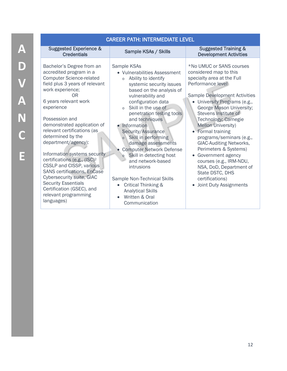| <b>CAREER PATH: INTERMEDIATE LEVEL</b>                                                                                                                                                                                                                                                                                                                                                                                                                                                                                                                                                                                |                                                                                                                                                                                                                                                                                                                                                                                                                                                                                                                                                                                                 |                                                                                                                                                                                                                                                                                                                                                                                                                                                                                                                                                                         |
|-----------------------------------------------------------------------------------------------------------------------------------------------------------------------------------------------------------------------------------------------------------------------------------------------------------------------------------------------------------------------------------------------------------------------------------------------------------------------------------------------------------------------------------------------------------------------------------------------------------------------|-------------------------------------------------------------------------------------------------------------------------------------------------------------------------------------------------------------------------------------------------------------------------------------------------------------------------------------------------------------------------------------------------------------------------------------------------------------------------------------------------------------------------------------------------------------------------------------------------|-------------------------------------------------------------------------------------------------------------------------------------------------------------------------------------------------------------------------------------------------------------------------------------------------------------------------------------------------------------------------------------------------------------------------------------------------------------------------------------------------------------------------------------------------------------------------|
| <b>Suggested Experience &amp;</b><br><b>Credentials</b>                                                                                                                                                                                                                                                                                                                                                                                                                                                                                                                                                               | Sample KSAs / Skills                                                                                                                                                                                                                                                                                                                                                                                                                                                                                                                                                                            | <b>Suggested Training &amp;</b><br><b>Development Activities</b>                                                                                                                                                                                                                                                                                                                                                                                                                                                                                                        |
| Bachelor's Degree from an<br>accredited program in a<br><b>Computer Science-related</b><br>field plus 3 years of relevant<br>work experience;<br>0 <sub>R</sub><br>6 years relevant work<br>experience<br>Possession and<br>demonstrated application of<br>relevant certifications (as<br>determined by the<br>department/agency):<br>Information systems security<br>certifications (e.g., (ISC) <sup>2</sup><br>CSSLP and CISSP, various<br><b>SANS certifications, EnCase</b><br><b>Cybersecurity suite, GIAC</b><br><b>Security Essentials</b><br>Certification (GSEC), and<br>relevant programming<br>languages) | Sample KSAs<br>• Vulnerabilities Assessment<br>Ability to identify<br>$\circ$<br>systemic security issues<br>based on the analysis of<br>vulnerability and<br>configuration data<br>Skill in the use of<br>$\circ$<br>penetration testing tools<br>and techniques<br>Information<br>Security/Assurance<br>Skill in performing<br>$\circ$<br>damage assessments<br><b>Computer Network Defense</b><br>Skill in detecting host<br>$\circ$<br>and network-based<br>intrusions<br>Sample Non-Technical Skills<br>Critical Thinking &<br><b>Analytical Skills</b><br>Written & Oral<br>Communication | *No UMUC or SANS courses<br>considered map to this<br>specialty area at the Full<br>Performance level<br><b>Sample Development Activities</b><br>• University Programs (e.g.,<br>George Mason University;<br>Stevens Institute of<br>Technology; Carnegie<br><b>Mellon University)</b><br>• Formal training<br>programs/seminars (e.g.,<br><b>GIAC-Auditing Networks,</b><br>Perimeters & Systems)<br>Government agency<br>$\bullet$<br>courses (e.g., IRM-NDU,<br>NSA, DoD, Department of<br>State DSTC, DHS<br>certifications)<br>Joint Duty Assignments<br>$\bullet$ |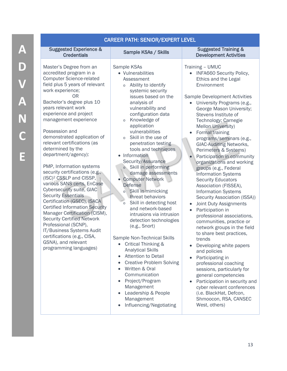| <b>Suggested Experience &amp;</b><br><b>Suggested Training &amp;</b><br>Sample KSAs / Skills<br><b>Credentials</b><br><b>Development Activities</b><br>Master's Degree from an<br>Sample KSAs<br>Training - UMUC<br>accredited program in a<br>• Vulnerabilities<br><b>INFA660 Security Policy,</b><br><b>Computer Science-related</b><br>Ethics and the Legal<br>Assessment<br>field plus 5 years of relevant<br>Ability to identify<br>Environment<br>$\circ$<br>work experience;<br>systemic security<br>0R<br>issues based on the<br><b>Sample Development Activities</b><br>Bachelor's degree plus 10<br>analysis of<br>University Programs (e.g.,<br>$\bullet$<br>years relevant work<br>vulnerability and<br>George Mason University;<br>experience and project<br>configuration data<br>Stevens Institute of<br>management experience<br>Knowledge of<br>Technology; Carnegie<br>$\circ$<br>application<br><b>Mellon University)</b><br>Possession and<br>vulnerabilities<br>Formal training<br>demonstrated application of<br>Skill in the use of<br>$\circ$<br>programs/seminars (e.g.,<br>relevant certifications (as<br>penetration testing<br><b>GIAC-Auditing Networks,</b><br>determined by the<br>tools and techniques<br>Perimeters & Systems)<br>department/agency):<br>• Information<br>Participation in community<br>Security/Assurance<br>organizations and working<br>PMP, Information systems<br>Skill in performing<br>groups (e.g., Federal<br>security certifications (e.g.,<br>damage assessments<br><b>Information Systems</b><br>(ISC) <sup>2</sup> CSSLP and CISSP,<br><b>Computer Network</b><br><b>Security Educators</b><br>various SANS certs, EnCase<br><b>Defense</b><br>Association (FISSEA),<br>Cybersecurity suite, GIAC<br>Skill in mimicking<br><b>Information Systems</b><br>$\circ$<br><b>Security Essentials</b><br>threat behaviors<br>Security Association (ISSA))<br>Certification (GSEC), ISACA<br>Skill in detecting host<br>Joint Duty Assignments<br>$\circ$<br><b>Certified Information Security</b><br>and network-based<br>Participation in<br>Manager Certification (CISM),<br>intrusions via intrusion<br>professional associations,<br><b>Security Certified Network</b><br>detection technologies<br>communities, practice or<br>Professional (SCNP),<br>(e.g., Snort)<br>network groups in the field<br>IT/Business Systems Audit<br>to share best practices,<br>certifications (e.g., CISA,<br>Sample Non-Technical Skills<br>trends<br>GSNA), and relevant<br><b>Critical Thinking &amp;</b><br>Developing white papers<br>programming languages)<br><b>Analytical Skills</b><br>and policies<br><b>Attention to Detail</b><br>$\bullet$<br>Participating in<br><b>Creative Problem Solving</b><br>professional coaching<br>Written & Oral<br>sessions, particularly for<br>Communication<br>general competencies<br>Project/Program<br>Participation in security and<br>$\bullet$<br>Management<br>cyber relevant conferences<br>Leadership & People<br>(i.e. BlackHat, Defcon,<br>Shmoocon, RSA, CANSEC<br>Management |
|--------------------------------------------------------------------------------------------------------------------------------------------------------------------------------------------------------------------------------------------------------------------------------------------------------------------------------------------------------------------------------------------------------------------------------------------------------------------------------------------------------------------------------------------------------------------------------------------------------------------------------------------------------------------------------------------------------------------------------------------------------------------------------------------------------------------------------------------------------------------------------------------------------------------------------------------------------------------------------------------------------------------------------------------------------------------------------------------------------------------------------------------------------------------------------------------------------------------------------------------------------------------------------------------------------------------------------------------------------------------------------------------------------------------------------------------------------------------------------------------------------------------------------------------------------------------------------------------------------------------------------------------------------------------------------------------------------------------------------------------------------------------------------------------------------------------------------------------------------------------------------------------------------------------------------------------------------------------------------------------------------------------------------------------------------------------------------------------------------------------------------------------------------------------------------------------------------------------------------------------------------------------------------------------------------------------------------------------------------------------------------------------------------------------------------------------------------------------------------------------------------------------------------------------------------------------------------------------------------------------------------------------------------------------------------------------------------------------------------------------------------------------------------------------------------------------------------------------------------------------------------------------------------------------------------------------------------------------------------------------------------------------------------------------------------------------------------------|
|                                                                                                                                                                                                                                                                                                                                                                                                                                                                                                                                                                                                                                                                                                                                                                                                                                                                                                                                                                                                                                                                                                                                                                                                                                                                                                                                                                                                                                                                                                                                                                                                                                                                                                                                                                                                                                                                                                                                                                                                                                                                                                                                                                                                                                                                                                                                                                                                                                                                                                                                                                                                                                                                                                                                                                                                                                                                                                                                                                                                                                                                                      |
| West, others)<br>Influencing/Negotiating                                                                                                                                                                                                                                                                                                                                                                                                                                                                                                                                                                                                                                                                                                                                                                                                                                                                                                                                                                                                                                                                                                                                                                                                                                                                                                                                                                                                                                                                                                                                                                                                                                                                                                                                                                                                                                                                                                                                                                                                                                                                                                                                                                                                                                                                                                                                                                                                                                                                                                                                                                                                                                                                                                                                                                                                                                                                                                                                                                                                                                             |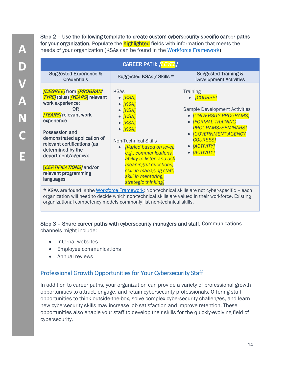Step 2 – Use the following template to create custom cybersecurity-specific career paths for your organization. Populate the **highlighted** fields with information that meets the needs of your organization (KSAs can be found in the [Workforce Framework\)](https://niccs.us-cert.gov/workforce-development/cyber-security-workforce-framework)

| CAREER PATH: [LEVEL]                                                                                                                                                                                                                                                                                                                |                                                                                                                                                                                                                                                                                                                                                                      |                                                                                                                                                                                                                                                                                           |  |
|-------------------------------------------------------------------------------------------------------------------------------------------------------------------------------------------------------------------------------------------------------------------------------------------------------------------------------------|----------------------------------------------------------------------------------------------------------------------------------------------------------------------------------------------------------------------------------------------------------------------------------------------------------------------------------------------------------------------|-------------------------------------------------------------------------------------------------------------------------------------------------------------------------------------------------------------------------------------------------------------------------------------------|--|
| <b>Suggested Experience &amp;</b><br><b>Credentials</b>                                                                                                                                                                                                                                                                             | Suggested KSAs / Skills *                                                                                                                                                                                                                                                                                                                                            | <b>Suggested Training &amp;</b><br><b>Development Activities</b>                                                                                                                                                                                                                          |  |
| [DEGREE] from [PROGRAM<br><b>TYPE</b> /(plus) <b>[YEARS</b> ] relevant<br>work experience;<br>0R<br>[YEARS] relevant work<br>experience<br>Possession and<br>demonstrated application of<br>relevant certifications (as<br>determined by the<br>department/agency):<br>[CERTIFICATIONS] and/or<br>relevant programming<br>languages | <b>KSAs</b><br>$\bullet$ [KSA]<br>$\bullet$ [KSA]<br>$\bullet$ [KSA]<br>$\bullet$ [KSA]<br>$\bullet$ [KSA]<br>$\bullet$ [KSA]<br><b>Non-Technical Skills</b><br><b>[Varied based on level;</b><br>$\bullet$<br>e.g., communications,<br>ability to listen and ask<br>meaningful questions,<br>skill in managing staff,<br>skill in mentoring,<br>strategic thinking] | <b>Training</b><br>• [COURSE]<br><b>Sample Development Activities</b><br>• <b>[UNIVERSITY PROGRAMS]</b><br><b>IFORMAL TRAINING</b><br>$\bullet$<br><b>PROGRAMS/SEMINARS]</b><br><b>[GOVERNMENT AGENCY</b><br><b>COURSES1</b><br>[ACTIVITY]<br>$\bullet$<br><b>[ACTIVITY]</b><br>$\bullet$ |  |
|                                                                                                                                                                                                                                                                                                                                     |                                                                                                                                                                                                                                                                                                                                                                      | * KSAs are found in the Workforce Framework: Non-technical skills are not cyber-specific - each                                                                                                                                                                                           |  |

**i in the** <u>Workforce Framework</u>; Non-technical skills are not cyber-specific – each organization will need to decide which non-technical skills are valued in their workforce. Existing organizational competency models commonly list non-technical skills.

Step 3 – Share career paths with cybersecurity managers and staff. Communications channels might include:

- Internal websites
- Employee communications
- Annual reviews

### <span id="page-14-0"></span>Professional Growth Opportunities for Your Cybersecurity Staff

In addition to career paths, your organization can provide a variety of professional growth opportunities to attract, engage, and retain cybersecurity professionals. Offering staff opportunities to think outside-the-box, solve complex cybersecurity challenges, and learn new cybersecurity skills may increase job satisfaction and improve retention. These opportunities also enable your staff to develop their skills for the quickly-evolving field of cybersecurity.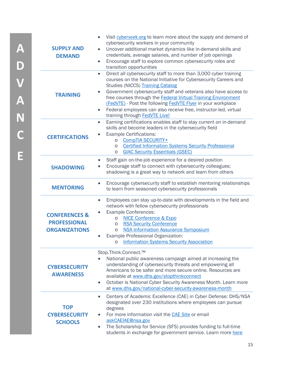| <b>SUPPLY AND</b><br><b>DEMAND</b>                                      | Visit cyberseek.org to learn more about the supply and demand of<br>$\bullet$<br>cybersecurity workers in your community<br>Uncover additional market dynamics like in-demand skills and<br>$\bullet$<br>credentials, average salaries, and number of job openings<br>Encourage staff to explore common cybersecurity roles and<br>$\bullet$<br>transition opportunities                                                                                                                                                         |
|-------------------------------------------------------------------------|----------------------------------------------------------------------------------------------------------------------------------------------------------------------------------------------------------------------------------------------------------------------------------------------------------------------------------------------------------------------------------------------------------------------------------------------------------------------------------------------------------------------------------|
| <b>TRAINING</b>                                                         | Direct all cybersecurity staff to more than 3,000 cyber training<br>$\bullet$<br>courses on the National Initiative for Cybersecurity Careers and<br><b>Studies (NICCS) Training Catalog</b><br>Government cybersecurity staff and veterans also have access to<br>free courses through the <b>Federal Virtual Training Environment</b><br>(FedVTE) - Post the following FedVTE Flyer in your workplace<br>Federal employees can also receive free, instructor-led, virtual<br>$\bullet$<br>training through <b>FedVTE Live!</b> |
| <b>CERTIFICATIONS</b>                                                   | Earning certifications enables staff to stay current on in-demand<br>$\bullet$<br>skills and become leaders in the cybersecurity field<br><b>Example Certifications:</b><br>CompTIA SECURITY+<br>$\circ$<br><b>Certified Information Systems Security Professional</b><br>$\circ$<br><b>GIAC Security Essentials (GSEC)</b><br>$\circ$                                                                                                                                                                                           |
| <b>SHADOWING</b>                                                        | Staff gain on-the-job experience for a desired position<br>$\bullet$<br>Encourage staff to connect with cybersecurity colleagues;<br>shadowing is a great way to network and learn from others                                                                                                                                                                                                                                                                                                                                   |
| <b>MENTORING</b>                                                        | Encourage cybersecurity staff to establish mentoring relationships<br>$\bullet$<br>to learn from seasoned cybersecurity professionals                                                                                                                                                                                                                                                                                                                                                                                            |
| <b>CONFERENCES &amp;</b><br><b>PROFESSIONAL</b><br><b>ORGANIZATIONS</b> | Employees can stay up-to-date with developments in the field and<br>$\bullet$<br>network with fellow cybersecurity professionals<br><b>Example Conferences:</b><br><b>NICE Conference &amp; Expo</b><br>$\circ$<br><b>RSA Security Conference</b><br>O<br><b>NSA Information Assurance Symposium</b><br>$\circ$<br>Example Professional Organization:<br>o Information Systems Security Association                                                                                                                              |
| <b>CYBERSECURITY</b><br><b>AWARENESS</b>                                | Stop.Think.Connect.™<br>National public awareness campaign aimed at increasing the<br>understanding of cybersecurity threats and empowering all<br>Americans to be safer and more secure online. Resources are<br>available at www.dhs.gov/stopthinkconnect<br>October is National Cyber Security Awareness Month. Learn more<br>$\bullet$<br>at www.dhs.gov/national-cyber-security-awareness-month                                                                                                                             |
| <b>TOP</b><br><b>CYBERSECURITY</b><br><b>SCHOOLS</b>                    | Centers of Academic Excellence (CAE) in Cyber Defense: DHS/NSA<br>$\bullet$<br>designated over 230 institutions where employees can pursue<br>degrees<br>For more information visit the <b>CAE Site</b> or email<br>askCAEIAE@nsa.gov<br>The Scholarship for Service (SFS) provides funding to full-time<br>$\bullet$<br>students in exchange for government service. Learn more here                                                                                                                                            |